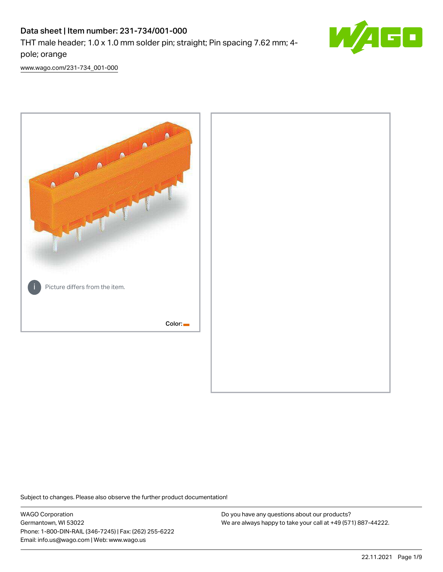# Data sheet | Item number: 231-734/001-000

THT male header; 1.0 x 1.0 mm solder pin; straight; Pin spacing 7.62 mm; 4 pole; orange



[www.wago.com/231-734\\_001-000](http://www.wago.com/231-734_001-000)



Subject to changes. Please also observe the further product documentation!

WAGO Corporation Germantown, WI 53022 Phone: 1-800-DIN-RAIL (346-7245) | Fax: (262) 255-6222 Email: info.us@wago.com | Web: www.wago.us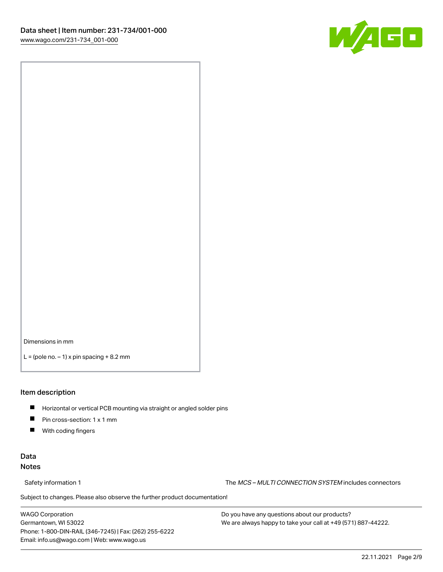

Dimensions in mm

 $L =$  (pole no.  $-1$ ) x pin spacing  $+8.2$  mm

#### Item description

- **Horizontal or vertical PCB mounting via straight or angled solder pins**
- **Pin cross-section: 1 x 1 mm**
- $\blacksquare$ With coding fingers

### Data Notes

Safety information 1 The MCS – MULTI CONNECTION SYSTEM includes connectors

Subject to changes. Please also observe the further product documentation!  $\nu$ 

WAGO Corporation Germantown, WI 53022 Phone: 1-800-DIN-RAIL (346-7245) | Fax: (262) 255-6222 Email: info.us@wago.com | Web: www.wago.us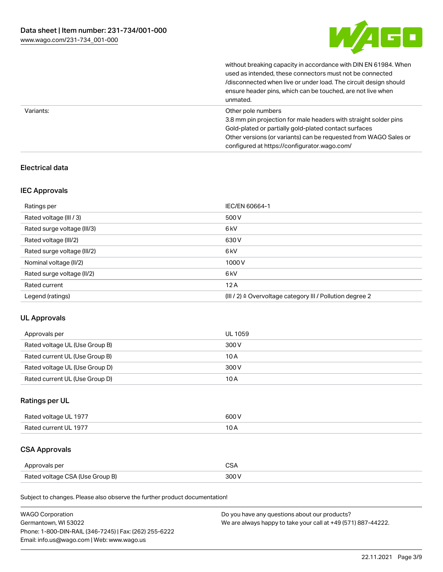

without breaking capacity in accordance with DIN EN 61984. When

|           | used as intended, these connectors must not be connected<br>/disconnected when live or under load. The circuit design should<br>ensure header pins, which can be touched, are not live when<br>unmated.                                                             |
|-----------|---------------------------------------------------------------------------------------------------------------------------------------------------------------------------------------------------------------------------------------------------------------------|
| Variants: | Other pole numbers<br>3.8 mm pin projection for male headers with straight solder pins<br>Gold-plated or partially gold-plated contact surfaces<br>Other versions (or variants) can be requested from WAGO Sales or<br>configured at https://configurator.wago.com/ |

# Electrical data

## IEC Approvals

| Ratings per                 | IEC/EN 60664-1                                                        |
|-----------------------------|-----------------------------------------------------------------------|
| Rated voltage (III / 3)     | 500 V                                                                 |
| Rated surge voltage (III/3) | 6 <sub>kV</sub>                                                       |
| Rated voltage (III/2)       | 630 V                                                                 |
| Rated surge voltage (III/2) | 6 <sub>kV</sub>                                                       |
| Nominal voltage (II/2)      | 1000V                                                                 |
| Rated surge voltage (II/2)  | 6 <sub>kV</sub>                                                       |
| Rated current               | 12A                                                                   |
| Legend (ratings)            | $(III / 2)$ $\triangle$ Overvoltage category III / Pollution degree 2 |

### UL Approvals

| Approvals per                  | UL 1059 |
|--------------------------------|---------|
| Rated voltage UL (Use Group B) | 300 V   |
| Rated current UL (Use Group B) | 10 A    |
| Rated voltage UL (Use Group D) | 300 V   |
| Rated current UL (Use Group D) | 10 A    |

# Ratings per UL

| Rated voltage UL 1977 | 600 V |
|-----------------------|-------|
| Rated current UL 1977 |       |

# CSA Approvals

| Approvals per                   | $\sim$ |
|---------------------------------|--------|
| Rated voltage CSA (Use Group B) | 300 V  |

Subject to changes. Please also observe the further product documentation!

| <b>WAGO Corporation</b>                                | Do you have any questions about our products?                 |
|--------------------------------------------------------|---------------------------------------------------------------|
| Germantown, WI 53022                                   | We are always happy to take your call at +49 (571) 887-44222. |
| Phone: 1-800-DIN-RAIL (346-7245)   Fax: (262) 255-6222 |                                                               |
| Email: info.us@wago.com   Web: www.wago.us             |                                                               |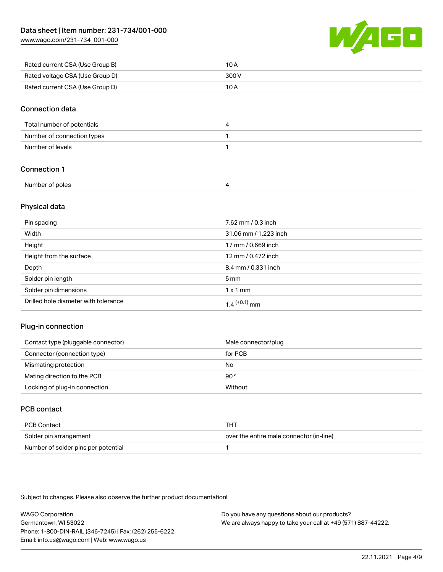[www.wago.com/231-734\\_001-000](http://www.wago.com/231-734_001-000)



| Rated current CSA (Use Group B) | 10 A  |
|---------------------------------|-------|
| Rated voltage CSA (Use Group D) | 300 V |
| Rated current CSA (Use Group D) | 10 A  |

#### Connection data

| Total number of potentials |  |
|----------------------------|--|
| Number of connection types |  |
| Number of levels           |  |

## Connection 1

| Number of poles |  |  |
|-----------------|--|--|
|-----------------|--|--|

#### Physical data

| Pin spacing                          | 7.62 mm / 0.3 inch    |
|--------------------------------------|-----------------------|
| Width                                | 31.06 mm / 1.223 inch |
| Height                               | 17 mm / 0.669 inch    |
| Height from the surface              | 12 mm / 0.472 inch    |
| Depth                                | 8.4 mm / 0.331 inch   |
| Solder pin length                    | $5 \,\mathrm{mm}$     |
| Solder pin dimensions                | $1 \times 1$ mm       |
| Drilled hole diameter with tolerance | $1.4$ $(+0.1)$ mm     |

### Plug-in connection

| Contact type (pluggable connector) | Male connector/plug |
|------------------------------------|---------------------|
| Connector (connection type)        | for PCB             |
| Mismating protection               | No                  |
| Mating direction to the PCB        | $90^{\circ}$        |
| Locking of plug-in connection      | Without             |

# PCB contact

| PCB Contact                         | тнт                                      |
|-------------------------------------|------------------------------------------|
| Solder pin arrangement              | over the entire male connector (in-line) |
| Number of solder pins per potential |                                          |

Subject to changes. Please also observe the further product documentation!

WAGO Corporation Germantown, WI 53022 Phone: 1-800-DIN-RAIL (346-7245) | Fax: (262) 255-6222 Email: info.us@wago.com | Web: www.wago.us Do you have any questions about our products? We are always happy to take your call at +49 (571) 887-44222.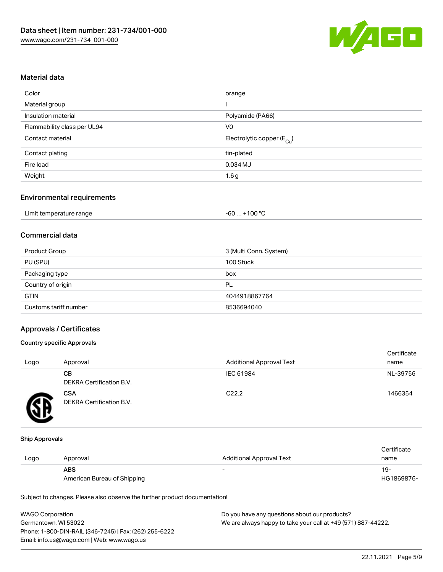

#### Material data

| orange                                 |
|----------------------------------------|
|                                        |
| Polyamide (PA66)                       |
| V <sub>0</sub>                         |
| Electrolytic copper (E <sub>Cu</sub> ) |
| tin-plated                             |
| 0.034 MJ                               |
| 1.6g                                   |
|                                        |

### Environmental requirements

| Limit temperature range | $+100 °C$<br>-60 |
|-------------------------|------------------|
|-------------------------|------------------|

# Commercial data

| Product Group         | 3 (Multi Conn. System) |
|-----------------------|------------------------|
| PU (SPU)              | 100 Stück              |
| Packaging type        | box                    |
| Country of origin     | PL                     |
| <b>GTIN</b>           | 4044918867764          |
| Customs tariff number | 8536694040             |

#### Approvals / Certificates

#### Country specific Approvals

| Logo | Approval                               | <b>Additional Approval Text</b> | Certificate<br>name |
|------|----------------------------------------|---------------------------------|---------------------|
|      | CВ<br><b>DEKRA Certification B.V.</b>  | IEC 61984                       | NL-39756            |
|      | <b>CSA</b><br>DEKRA Certification B.V. | C <sub>22.2</sub>               | 1466354             |

#### Ship Approvals

|      |                             |                          | Certificate |
|------|-----------------------------|--------------------------|-------------|
| Logo | Approval                    | Additional Approval Text | name        |
|      | <b>ABS</b>                  |                          | 19-         |
|      | American Bureau of Shipping |                          | HG1869876-  |

Subject to changes. Please also observe the further product documentation!

| <b>WAGO Corporation</b>                                | Do you have any questions about our products?                 |
|--------------------------------------------------------|---------------------------------------------------------------|
| Germantown, WI 53022                                   | We are always happy to take your call at +49 (571) 887-44222. |
| Phone: 1-800-DIN-RAIL (346-7245)   Fax: (262) 255-6222 |                                                               |
| Email: info.us@wago.com   Web: www.wago.us             |                                                               |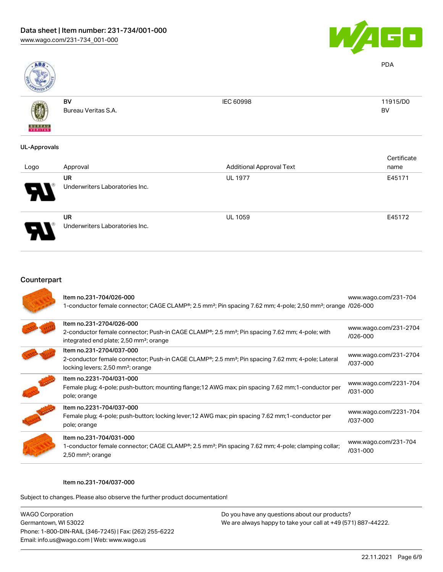

PDA

BV



BV Bureau Veritas S.A. IEC 60998 11915/D0

# UL-Approvals

| Logo | Approval                             | <b>Additional Approval Text</b> | Certificate<br>name |
|------|--------------------------------------|---------------------------------|---------------------|
| Я.   | UR<br>Underwriters Laboratories Inc. | <b>UL 1977</b>                  | E45171              |
|      | UR<br>Underwriters Laboratories Inc. | <b>UL 1059</b>                  | E45172              |



| Item no.231-704/026-000<br>1-conductor female connector; CAGE CLAMP®; 2.5 mm <sup>2</sup> ; Pin spacing 7.62 mm; 4-pole; 2,50 mm <sup>2</sup> ; orange /026-000                                            | www.wago.com/231-704                  |
|------------------------------------------------------------------------------------------------------------------------------------------------------------------------------------------------------------|---------------------------------------|
| Item no.231-2704/026-000<br>2-conductor female connector; Push-in CAGE CLAMP <sup>®</sup> ; 2.5 mm <sup>2</sup> ; Pin spacing 7.62 mm; 4-pole; with<br>integrated end plate; 2,50 mm <sup>2</sup> ; orange | www.wago.com/231-2704<br>/026-000     |
| Item no.231-2704/037-000<br>2-conductor female connector; Push-in CAGE CLAMP <sup>®</sup> ; 2.5 mm <sup>2</sup> ; Pin spacing 7.62 mm; 4-pole; Lateral<br>locking levers; 2,50 mm <sup>2</sup> ; orange    | www.wago.com/231-2704<br>/037-000     |
| Item no.2231-704/031-000<br>Female plug; 4-pole; push-button; mounting flange; 12 AWG max; pin spacing 7.62 mm; 1-conductor per<br>pole; orange                                                            | www.wago.com/2231-704<br>$/031 - 000$ |
| Item no.2231-704/037-000<br>Female plug; 4-pole; push-button; locking lever; 12 AWG max; pin spacing 7.62 mm; 1-conductor per<br>pole; orange                                                              | www.wago.com/2231-704<br>/037-000     |
| Item no.231-704/031-000<br>1-conductor female connector; CAGE CLAMP®; 2.5 mm <sup>2</sup> ; Pin spacing 7.62 mm; 4-pole; clamping collar;<br>2,50 mm <sup>2</sup> ; orange                                 | www.wago.com/231-704<br>/031-000      |

#### Item no.231-704/037-000

Subject to changes. Please also observe the further product documentation!

WAGO Corporation Germantown, WI 53022 Phone: 1-800-DIN-RAIL (346-7245) | Fax: (262) 255-6222 Email: info.us@wago.com | Web: www.wago.us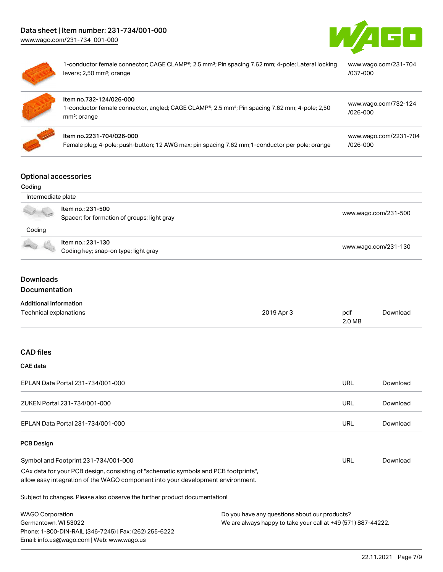



| 1-conductor female connector; CAGE CLAMP®; 2.5 mm <sup>2</sup> ; Pin spacing 7.62 mm; 4-pole; Lateral locking<br>levers; 2,50 mm <sup>2</sup> ; orange            | www.wago.com/231-704<br>/037-000      |
|-------------------------------------------------------------------------------------------------------------------------------------------------------------------|---------------------------------------|
| Item no.732-124/026-000<br>1-conductor female connector, angled; CAGE CLAMP®; 2.5 mm <sup>2</sup> ; Pin spacing 7.62 mm; 4-pole; 2,50<br>mm <sup>2</sup> ; orange | www.wago.com/732-124<br>$/026 - 000$  |
| Item no.2231-704/026-000<br>Female plug; 4-pole; push-button; 12 AWG max; pin spacing 7.62 mm; 1-conductor per pole; orange                                       | www.wago.com/2231-704<br>$/026 - 000$ |
|                                                                                                                                                                   |                                       |

#### Optional accessories

| Optibliai accessorics |                                             |                      |
|-----------------------|---------------------------------------------|----------------------|
| Coding                |                                             |                      |
| Intermediate plate    |                                             |                      |
|                       | Item no.: 231-500                           | www.wago.com/231-500 |
|                       | Spacer; for formation of groups; light gray |                      |
| Coding                |                                             |                      |
|                       | Item no.: 231-130                           |                      |
|                       | Coding key; snap-on type; light gray        | www.wago.com/231-130 |
|                       |                                             |                      |
|                       |                                             |                      |

# Downloads Documentation

| <b>Additional Information</b> |
|-------------------------------|
|                               |

Phone: 1-800-DIN-RAIL (346-7245) | Fax: (262) 255-6222

Email: info.us@wago.com | Web: www.wago.us

| Technical explanations                                                                                                                                                 | 2019 Apr 3 | pdf<br>2.0 MB | Download |
|------------------------------------------------------------------------------------------------------------------------------------------------------------------------|------------|---------------|----------|
| <b>CAD files</b>                                                                                                                                                       |            |               |          |
| <b>CAE</b> data                                                                                                                                                        |            |               |          |
| EPLAN Data Portal 231-734/001-000                                                                                                                                      |            | URL           | Download |
| ZUKEN Portal 231-734/001-000                                                                                                                                           |            | URL           | Download |
| EPLAN Data Portal 231-734/001-000                                                                                                                                      |            | URL           | Download |
| <b>PCB Design</b>                                                                                                                                                      |            |               |          |
| Symbol and Footprint 231-734/001-000                                                                                                                                   |            | URL           | Download |
| CAx data for your PCB design, consisting of "schematic symbols and PCB footprints",<br>allow easy integration of the WAGO component into your development environment. |            |               |          |
| Subject to changes. Please also observe the further product documentation!                                                                                             |            |               |          |
| <b>WAGO Corporation</b><br>Do you have any questions about our products?<br>We are always happy to take your call at +49 (571) 887-44222.<br>Germantown, WI 53022      |            |               |          |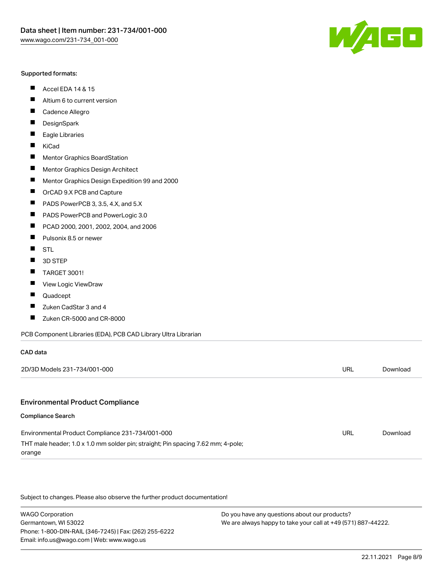#### Supported formats:

- $\blacksquare$ Accel EDA 14 & 15
- $\blacksquare$ Altium 6 to current version
- $\blacksquare$ Cadence Allegro
- $\blacksquare$ **DesignSpark**
- $\blacksquare$ Eagle Libraries
- $\blacksquare$ KiCad
- $\blacksquare$ Mentor Graphics BoardStation
- $\blacksquare$ Mentor Graphics Design Architect
- $\blacksquare$ Mentor Graphics Design Expedition 99 and 2000
- $\blacksquare$ OrCAD 9.X PCB and Capture
- $\blacksquare$ PADS PowerPCB 3, 3.5, 4.X, and 5.X
- $\blacksquare$ PADS PowerPCB and PowerLogic 3.0
- $\blacksquare$ PCAD 2000, 2001, 2002, 2004, and 2006
- $\blacksquare$ Pulsonix 8.5 or newer
- $\blacksquare$ STL
- 3D STEP П
- П TARGET 3001!
- $\blacksquare$ View Logic ViewDraw
- П Quadcept
- Zuken CadStar 3 and 4  $\blacksquare$
- Zuken CR-5000 and CR-8000 П

#### PCB Component Libraries (EDA), PCB CAD Library Ultra Librarian

| CAD data                                                                                   |     |          |
|--------------------------------------------------------------------------------------------|-----|----------|
| 2D/3D Models 231-734/001-000                                                               | URL | Download |
|                                                                                            |     |          |
| <b>Environmental Product Compliance</b>                                                    |     |          |
| Compliance Search                                                                          |     |          |
| Environmental Product Compliance 231-734/001-000                                           | URL | Download |
| THT male header; 1.0 x 1.0 mm solder pin; straight; Pin spacing 7.62 mm; 4-pole;<br>orange |     |          |

Subject to changes. Please also observe the further product documentation!

WAGO Corporation Germantown, WI 53022 Phone: 1-800-DIN-RAIL (346-7245) | Fax: (262) 255-6222 Email: info.us@wago.com | Web: www.wago.us